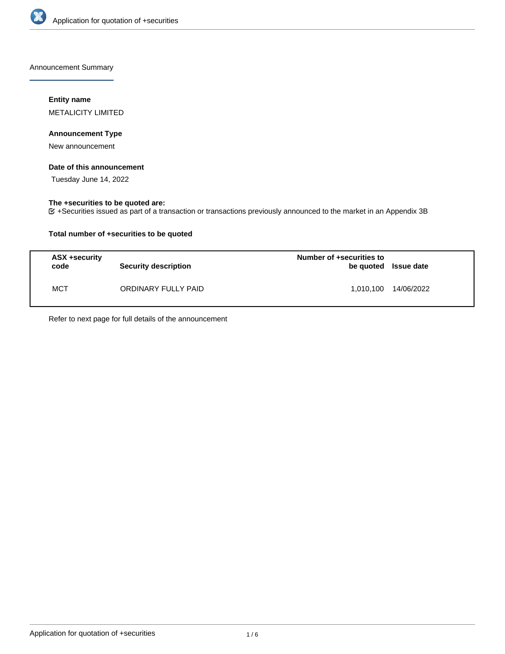

Announcement Summary

# **Entity name**

METALICITY LIMITED

## **Announcement Type**

New announcement

# **Date of this announcement**

Tuesday June 14, 2022

# **The +securities to be quoted are:**

+Securities issued as part of a transaction or transactions previously announced to the market in an Appendix 3B

# **Total number of +securities to be quoted**

| ASX +security<br>code | <b>Security description</b> | Number of +securities to<br>be quoted Issue date |            |
|-----------------------|-----------------------------|--------------------------------------------------|------------|
| MCT                   | ORDINARY FULLY PAID         | 1.010.100                                        | 14/06/2022 |

Refer to next page for full details of the announcement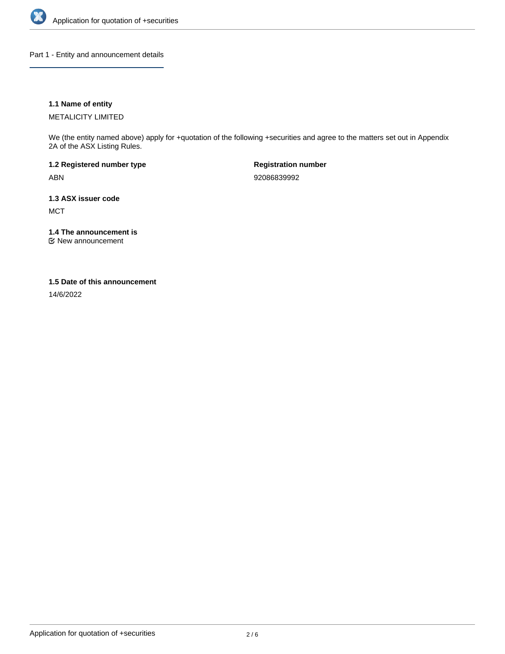

Part 1 - Entity and announcement details

# **1.1 Name of entity**

METALICITY LIMITED

We (the entity named above) apply for +quotation of the following +securities and agree to the matters set out in Appendix 2A of the ASX Listing Rules.

**1.2 Registered number type** ABN

**Registration number** 92086839992

**1.3 ASX issuer code MCT** 

**1.4 The announcement is**

New announcement

## **1.5 Date of this announcement**

14/6/2022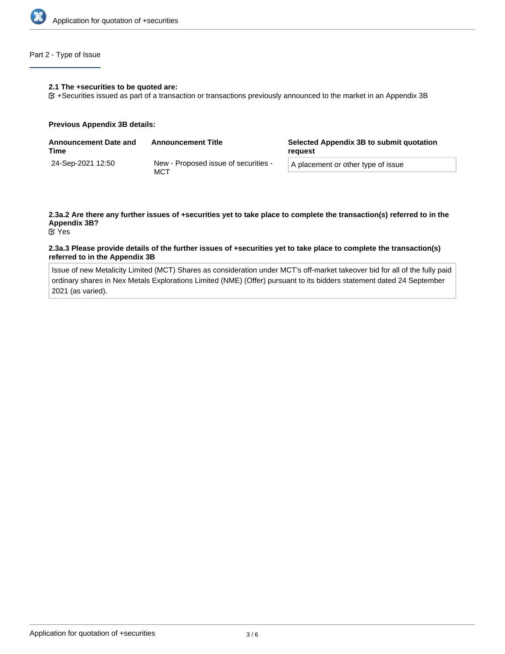

# Part 2 - Type of Issue

#### **2.1 The +securities to be quoted are:**

+Securities issued as part of a transaction or transactions previously announced to the market in an Appendix 3B

#### **Previous Appendix 3B details:**

| <b>Announcement Date and</b><br>Time | <b>Announcement Title</b>                   | Selected Appendix 3B to submit quotation<br>reauest |  |
|--------------------------------------|---------------------------------------------|-----------------------------------------------------|--|
| 24-Sep-2021 12:50                    | New - Proposed issue of securities -<br>MCT | A placement or other type of issue                  |  |

# **2.3a.2 Are there any further issues of +securities yet to take place to complete the transaction(s) referred to in the Appendix 3B?**

Yes

### **2.3a.3 Please provide details of the further issues of +securities yet to take place to complete the transaction(s) referred to in the Appendix 3B**

Issue of new Metalicity Limited (MCT) Shares as consideration under MCT's off-market takeover bid for all of the fully paid ordinary shares in Nex Metals Explorations Limited (NME) (Offer) pursuant to its bidders statement dated 24 September 2021 (as varied).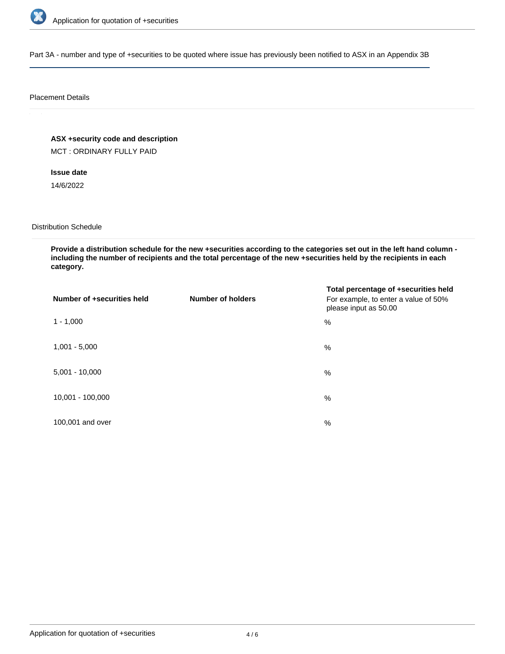

Part 3A - number and type of +securities to be quoted where issue has previously been notified to ASX in an Appendix 3B

## Placement Details

**ASX +security code and description**

MCT : ORDINARY FULLY PAID

**Issue date**

14/6/2022

Distribution Schedule

**Provide a distribution schedule for the new +securities according to the categories set out in the left hand column including the number of recipients and the total percentage of the new +securities held by the recipients in each category.**

| Number of +securities held | <b>Number of holders</b> | Total percentage of +securities held<br>For example, to enter a value of 50%<br>please input as 50.00 |
|----------------------------|--------------------------|-------------------------------------------------------------------------------------------------------|
| $1 - 1,000$                |                          | %                                                                                                     |
| $1,001 - 5,000$            |                          | $\%$                                                                                                  |
| $5,001 - 10,000$           |                          | %                                                                                                     |
| 10,001 - 100,000           |                          | $\%$                                                                                                  |
| 100,001 and over           |                          | $\%$                                                                                                  |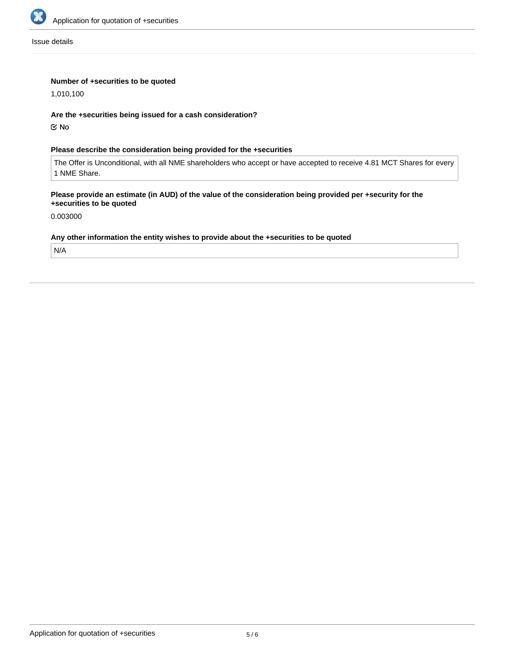

Issue details

# **Number of +securities to be quoted**

1,010,100

## **Are the +securities being issued for a cash consideration?**

No

# **Please describe the consideration being provided for the +securities**

The Offer is Unconditional, with all NME shareholders who accept or have accepted to receive 4.81 MCT Shares for every 1 NME Share.

## **Please provide an estimate (in AUD) of the value of the consideration being provided per +security for the +securities to be quoted**

0.003000

#### **Any other information the entity wishes to provide about the +securities to be quoted**

N/A